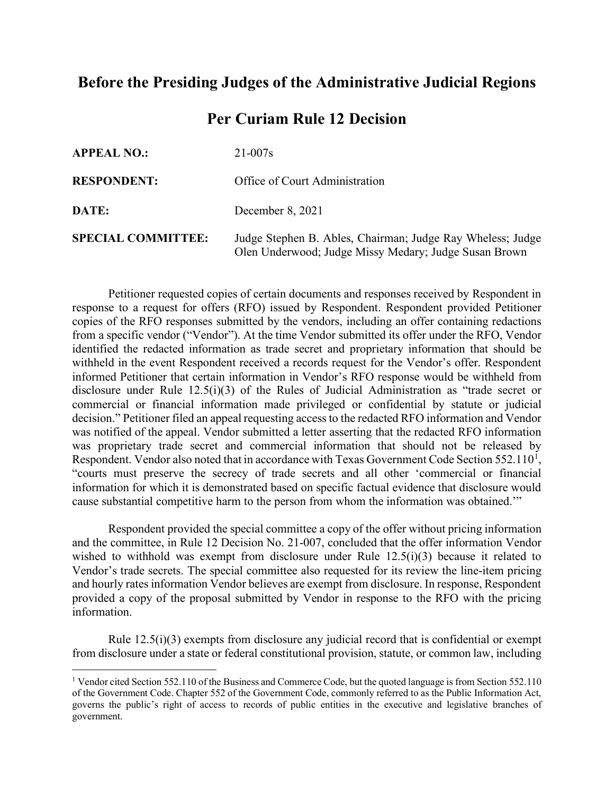## **Before the Presiding Judges of the Administrative Judicial Regions**

## **Per Curiam Rule 12 Decision**

| <b>APPEAL NO.:</b>        | $21 - 007s$                                                                                                         |
|---------------------------|---------------------------------------------------------------------------------------------------------------------|
| <b>RESPONDENT:</b>        | Office of Court Administration                                                                                      |
| DATE:                     | December 8, 2021                                                                                                    |
| <b>SPECIAL COMMITTEE:</b> | Judge Stephen B. Ables, Chairman; Judge Ray Wheless; Judge<br>Olen Underwood; Judge Missy Medary; Judge Susan Brown |

Petitioner requested copies of certain documents and responses received by Respondent in response to a request for offers (RFO) issued by Respondent. Respondent provided Petitioner copies of the RFO responses submitted by the vendors, including an offer containing redactions from a specific vendor ("Vendor"). At the time Vendor submitted its offer under the RFO, Vendor identified the redacted information as trade secret and proprietary information that should be withheld in the event Respondent received a records request for the Vendor's offer. Respondent informed Petitioner that certain information in Vendor's RFO response would be withheld from disclosure under Rule 12.5(i)(3) of the Rules of Judicial Administration as "trade secret or commercial or financial information made privileged or confidential by statute or judicial decision." Petitioner filed an appeal requesting access to the redacted RFO information and Vendor was notified of the appeal. Vendor submitted a letter asserting that the redacted RFO information was proprietary trade secret and commercial information that should not be released by Respondent. Vendor also noted that in accordance with Texas Government Code Section 552.[1](#page-0-0)10<sup>1</sup>, "courts must preserve the secrecy of trade secrets and all other 'commercial or financial information for which it is demonstrated based on specific factual evidence that disclosure would cause substantial competitive harm to the person from whom the information was obtained.'"

Respondent provided the special committee a copy of the offer without pricing information and the committee, in Rule 12 Decision No. 21-007, concluded that the offer information Vendor wished to withhold was exempt from disclosure under Rule 12.5(i)(3) because it related to Vendor's trade secrets. The special committee also requested for its review the line-item pricing and hourly rates information Vendor believes are exempt from disclosure. In response, Respondent provided a copy of the proposal submitted by Vendor in response to the RFO with the pricing information.

Rule 12.5(i)(3) exempts from disclosure any judicial record that is confidential or exempt from disclosure under a state or federal constitutional provision, statute, or common law, including

<span id="page-0-0"></span><sup>&</sup>lt;sup>1</sup> Vendor cited Section 552.110 of the Business and Commerce Code, but the quoted language is from Section 552.110 of the Government Code. Chapter 552 of the Government Code, commonly referred to as the Public Information Act, governs the public's right of access to records of public entities in the executive and legislative branches of government.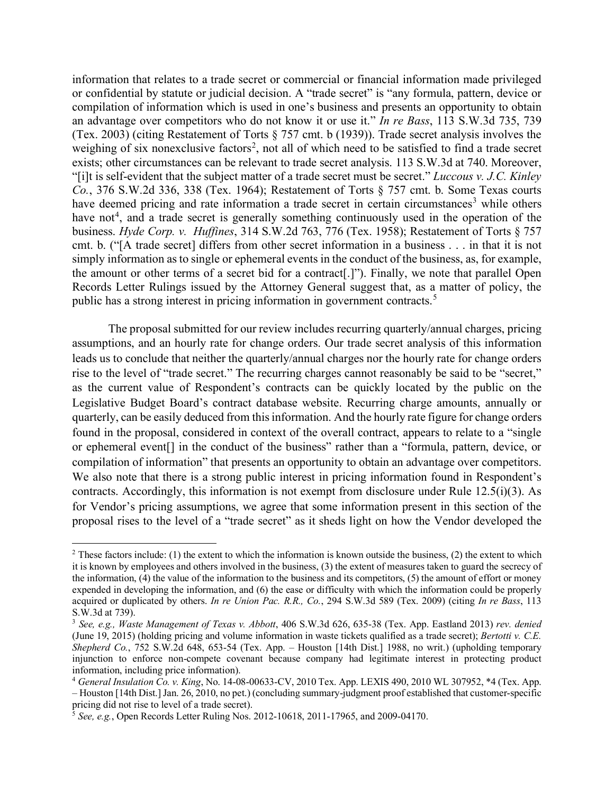information that relates to a trade secret or commercial or financial information made privileged or confidential by statute or judicial decision. A "trade secret" is "any formula, pattern, device or compilation of information which is used in one's business and presents an opportunity to obtain an advantage over competitors who do not know it or use it." *In re Bass*, 113 S.W.3d 735, 739 (Tex. 2003) (citing Restatement of Torts § 757 cmt. b (1939)). Trade secret analysis involves the weighing of six nonexclusive factors<sup>[2](#page-1-0)</sup>, not all of which need to be satisfied to find a trade secret exists; other circumstances can be relevant to trade secret analysis. 113 S.W.3d at 740. Moreover, "[i]t is self-evident that the subject matter of a trade secret must be secret." *Luccous v. J.C. Kinley Co.*, 376 S.W.2d 336, 338 (Tex. 1964); Restatement of Torts § 757 cmt. b. Some Texas courts have deemed pricing and rate information a trade secret in certain circumstances<sup>[3](#page-1-1)</sup> while others have not<sup>[4](#page-1-2)</sup>, and a trade secret is generally something continuously used in the operation of the business. *Hyde Corp. v. Huffines*, 314 S.W.2d 763, 776 (Tex. 1958); Restatement of Torts § 757 cmt. b. ("[A trade secret] differs from other secret information in a business . . . in that it is not simply information as to single or ephemeral events in the conduct of the business, as, for example, the amount or other terms of a secret bid for a contract[.]"). Finally, we note that parallel Open Records Letter Rulings issued by the Attorney General suggest that, as a matter of policy, the public has a strong interest in pricing information in government contracts.<sup>[5](#page-1-3)</sup>

The proposal submitted for our review includes recurring quarterly/annual charges, pricing assumptions, and an hourly rate for change orders. Our trade secret analysis of this information leads us to conclude that neither the quarterly/annual charges nor the hourly rate for change orders rise to the level of "trade secret." The recurring charges cannot reasonably be said to be "secret," as the current value of Respondent's contracts can be quickly located by the public on the Legislative Budget Board's contract database website. Recurring charge amounts, annually or quarterly, can be easily deduced from this information. And the hourly rate figure for change orders found in the proposal, considered in context of the overall contract, appears to relate to a "single or ephemeral event[] in the conduct of the business" rather than a "formula, pattern, device, or compilation of information" that presents an opportunity to obtain an advantage over competitors. We also note that there is a strong public interest in pricing information found in Respondent's contracts. Accordingly, this information is not exempt from disclosure under Rule 12.5(i)(3). As for Vendor's pricing assumptions, we agree that some information present in this section of the proposal rises to the level of a "trade secret" as it sheds light on how the Vendor developed the

<span id="page-1-0"></span><sup>&</sup>lt;sup>2</sup> These factors include: (1) the extent to which the information is known outside the business, (2) the extent to which it is known by employees and others involved in the business, (3) the extent of measures taken to guard the secrecy of the information, (4) the value of the information to the business and its competitors, (5) the amount of effort or money expended in developing the information, and (6) the ease or difficulty with which the information could be properly acquired or duplicated by others. *In re Union Pac. R.R., Co.*, 294 S.W.3d 589 (Tex. 2009) (citing *In re Bass*, 113 S.W.3d at 739).

<span id="page-1-1"></span><sup>3</sup> *See, e.g., Waste Management of Texas v. Abbott*, 406 S.W.3d 626, 635-38 (Tex. App. Eastland 2013) *rev. denied* (June 19, 2015) (holding pricing and volume information in waste tickets qualified as a trade secret); *Bertotti v. C.E. Shepherd Co.*, 752 S.W.2d 648, 653-54 (Tex. App. – Houston [14th Dist.] 1988, no writ.) (upholding temporary injunction to enforce non-compete covenant because company had legitimate interest in protecting product information, including price information).<br><sup>4</sup> *General Insulation Co. v. King*, No. 14-08-00633-CV, 2010 Tex. App. LEXIS 490, 2010 WL 307952, \*4 (Tex. App.

<span id="page-1-2"></span><sup>–</sup> Houston [14th Dist.] Jan. 26, 2010, no pet.) (concluding summary-judgment proof established that customer-specific pricing did not rise to level of a trade secret).

<span id="page-1-3"></span><sup>5</sup> *See, e.g.*, Open Records Letter Ruling Nos. 2012-10618, 2011-17965, and 2009-04170.